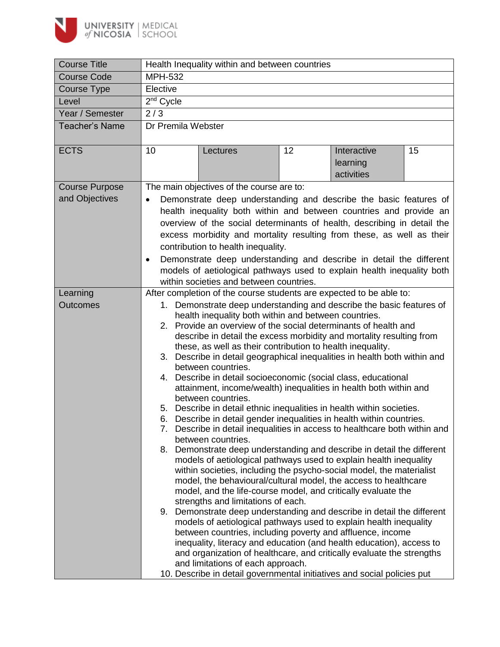

| <b>Course Title</b>   | Health Inequality within and between countries                                                                                                                                                                                  |                                                                                                                                           |    |             |    |  |  |
|-----------------------|---------------------------------------------------------------------------------------------------------------------------------------------------------------------------------------------------------------------------------|-------------------------------------------------------------------------------------------------------------------------------------------|----|-------------|----|--|--|
| <b>Course Code</b>    | <b>MPH-532</b>                                                                                                                                                                                                                  |                                                                                                                                           |    |             |    |  |  |
| Course Type           | Elective                                                                                                                                                                                                                        |                                                                                                                                           |    |             |    |  |  |
| Level                 | $2nd$ Cycle                                                                                                                                                                                                                     |                                                                                                                                           |    |             |    |  |  |
| Year / Semester       | 2/3                                                                                                                                                                                                                             |                                                                                                                                           |    |             |    |  |  |
| <b>Teacher's Name</b> | Dr Premila Webster                                                                                                                                                                                                              |                                                                                                                                           |    |             |    |  |  |
|                       |                                                                                                                                                                                                                                 |                                                                                                                                           |    |             |    |  |  |
| <b>ECTS</b>           | 10                                                                                                                                                                                                                              | Lectures                                                                                                                                  | 12 | Interactive | 15 |  |  |
|                       |                                                                                                                                                                                                                                 |                                                                                                                                           |    | learning    |    |  |  |
|                       |                                                                                                                                                                                                                                 |                                                                                                                                           |    | activities  |    |  |  |
| <b>Course Purpose</b> | The main objectives of the course are to:<br>Demonstrate deep understanding and describe the basic features of                                                                                                                  |                                                                                                                                           |    |             |    |  |  |
| and Objectives        | $\bullet$                                                                                                                                                                                                                       |                                                                                                                                           |    |             |    |  |  |
|                       |                                                                                                                                                                                                                                 | health inequality both within and between countries and provide an                                                                        |    |             |    |  |  |
|                       | overview of the social determinants of health, describing in detail the<br>excess morbidity and mortality resulting from these, as well as their                                                                                |                                                                                                                                           |    |             |    |  |  |
|                       |                                                                                                                                                                                                                                 | contribution to health inequality.                                                                                                        |    |             |    |  |  |
|                       |                                                                                                                                                                                                                                 |                                                                                                                                           |    |             |    |  |  |
|                       | Demonstrate deep understanding and describe in detail the different<br>$\bullet$<br>models of aetiological pathways used to explain health inequality both                                                                      |                                                                                                                                           |    |             |    |  |  |
|                       |                                                                                                                                                                                                                                 | within societies and between countries.                                                                                                   |    |             |    |  |  |
| Learning              |                                                                                                                                                                                                                                 | After completion of the course students are expected to be able to:                                                                       |    |             |    |  |  |
| <b>Outcomes</b>       |                                                                                                                                                                                                                                 | 1. Demonstrate deep understanding and describe the basic features of                                                                      |    |             |    |  |  |
|                       |                                                                                                                                                                                                                                 | health inequality both within and between countries.                                                                                      |    |             |    |  |  |
|                       | 2.                                                                                                                                                                                                                              | Provide an overview of the social determinants of health and                                                                              |    |             |    |  |  |
|                       |                                                                                                                                                                                                                                 | describe in detail the excess morbidity and mortality resulting from                                                                      |    |             |    |  |  |
|                       | these, as well as their contribution to health inequality.<br>Describe in detail geographical inequalities in health both within and<br>3.                                                                                      |                                                                                                                                           |    |             |    |  |  |
|                       | between countries.<br>Describe in detail socioeconomic (social class, educational<br>4.<br>attainment, income/wealth) inequalities in health both within and<br>between countries.                                              |                                                                                                                                           |    |             |    |  |  |
|                       |                                                                                                                                                                                                                                 |                                                                                                                                           |    |             |    |  |  |
|                       |                                                                                                                                                                                                                                 |                                                                                                                                           |    |             |    |  |  |
|                       |                                                                                                                                                                                                                                 |                                                                                                                                           |    |             |    |  |  |
|                       | 5. Describe in detail ethnic inequalities in health within societies.<br>Describe in detail gender inequalities in health within countries.<br>6.<br>7. Describe in detail inequalities in access to healthcare both within and |                                                                                                                                           |    |             |    |  |  |
|                       |                                                                                                                                                                                                                                 |                                                                                                                                           |    |             |    |  |  |
|                       |                                                                                                                                                                                                                                 | between countries.                                                                                                                        |    |             |    |  |  |
|                       | 8.                                                                                                                                                                                                                              | Demonstrate deep understanding and describe in detail the different                                                                       |    |             |    |  |  |
|                       |                                                                                                                                                                                                                                 | models of aetiological pathways used to explain health inequality<br>within societies, including the psycho-social model, the materialist |    |             |    |  |  |
|                       |                                                                                                                                                                                                                                 | model, the behavioural/cultural model, the access to healthcare                                                                           |    |             |    |  |  |
|                       |                                                                                                                                                                                                                                 | model, and the life-course model, and critically evaluate the                                                                             |    |             |    |  |  |
|                       |                                                                                                                                                                                                                                 | strengths and limitations of each.                                                                                                        |    |             |    |  |  |
|                       |                                                                                                                                                                                                                                 | 9. Demonstrate deep understanding and describe in detail the different                                                                    |    |             |    |  |  |
|                       |                                                                                                                                                                                                                                 | models of aetiological pathways used to explain health inequality<br>between countries, including poverty and affluence, income           |    |             |    |  |  |
|                       |                                                                                                                                                                                                                                 | inequality, literacy and education (and health education), access to                                                                      |    |             |    |  |  |
|                       |                                                                                                                                                                                                                                 | and organization of healthcare, and critically evaluate the strengths                                                                     |    |             |    |  |  |
|                       | and limitations of each approach.                                                                                                                                                                                               |                                                                                                                                           |    |             |    |  |  |
|                       |                                                                                                                                                                                                                                 | 10. Describe in detail governmental initiatives and social policies put                                                                   |    |             |    |  |  |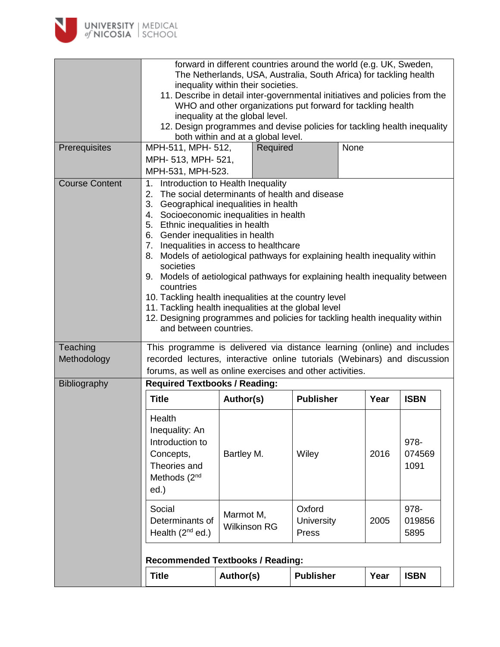

|                         | forward in different countries around the world (e.g. UK, Sweden,<br>The Netherlands, USA, Australia, South Africa) for tackling health<br>inequality within their societies.<br>11. Describe in detail inter-governmental initiatives and policies from the<br>WHO and other organizations put forward for tackling health<br>inequality at the global level.<br>12. Design programmes and devise policies for tackling health inequality                                                                                                                                                                                                                                                                              |                                    |                               |      |                        |  |
|-------------------------|-------------------------------------------------------------------------------------------------------------------------------------------------------------------------------------------------------------------------------------------------------------------------------------------------------------------------------------------------------------------------------------------------------------------------------------------------------------------------------------------------------------------------------------------------------------------------------------------------------------------------------------------------------------------------------------------------------------------------|------------------------------------|-------------------------------|------|------------------------|--|
|                         |                                                                                                                                                                                                                                                                                                                                                                                                                                                                                                                                                                                                                                                                                                                         | both within and at a global level. |                               |      |                        |  |
| Prerequisites           | MPH-511, MPH- 512,<br>MPH- 513, MPH- 521,<br>MPH-531, MPH-523.                                                                                                                                                                                                                                                                                                                                                                                                                                                                                                                                                                                                                                                          | Required                           |                               | None |                        |  |
| <b>Course Content</b>   | Introduction to Health Inequality<br>1.<br>2. The social determinants of health and disease<br>3. Geographical inequalities in health<br>4. Socioeconomic inequalities in health<br>5. Ethnic inequalities in health<br>6. Gender inequalities in health<br>7. Inequalities in access to healthcare<br>Models of aetiological pathways for explaining health inequality within<br>8.<br>societies<br>9. Models of aetiological pathways for explaining health inequality between<br>countries<br>10. Tackling health inequalities at the country level<br>11. Tackling health inequalities at the global level<br>12. Designing programmes and policies for tackling health inequality within<br>and between countries. |                                    |                               |      |                        |  |
| Teaching<br>Methodology | This programme is delivered via distance learning (online) and includes<br>recorded lectures, interactive online tutorials (Webinars) and discussion<br>forums, as well as online exercises and other activities.                                                                                                                                                                                                                                                                                                                                                                                                                                                                                                       |                                    |                               |      |                        |  |
| Bibliography            | <b>Required Textbooks / Reading:</b>                                                                                                                                                                                                                                                                                                                                                                                                                                                                                                                                                                                                                                                                                    |                                    |                               |      |                        |  |
|                         | <b>Title</b>                                                                                                                                                                                                                                                                                                                                                                                                                                                                                                                                                                                                                                                                                                            | Author(s)                          | <b>Publisher</b>              | Year | <b>ISBN</b>            |  |
|                         | Health<br>Inequality: An<br>Introduction to<br>Concepts,<br>Theories and<br>Methods (2 <sup>nd</sup><br>ed.)                                                                                                                                                                                                                                                                                                                                                                                                                                                                                                                                                                                                            | Bartley M.                         | Wiley                         | 2016 | 978-<br>074569<br>1091 |  |
|                         | Social<br>Determinants of<br>Health $(2^{nd}$ ed.)                                                                                                                                                                                                                                                                                                                                                                                                                                                                                                                                                                                                                                                                      | Marmot M,<br><b>Wilkinson RG</b>   | Oxford<br>University<br>Press | 2005 | 978-<br>019856<br>5895 |  |
|                         | <b>Recommended Textbooks / Reading:</b>                                                                                                                                                                                                                                                                                                                                                                                                                                                                                                                                                                                                                                                                                 |                                    |                               |      |                        |  |
|                         | <b>Title</b>                                                                                                                                                                                                                                                                                                                                                                                                                                                                                                                                                                                                                                                                                                            | Author(s)                          | <b>Publisher</b>              | Year | <b>ISBN</b>            |  |